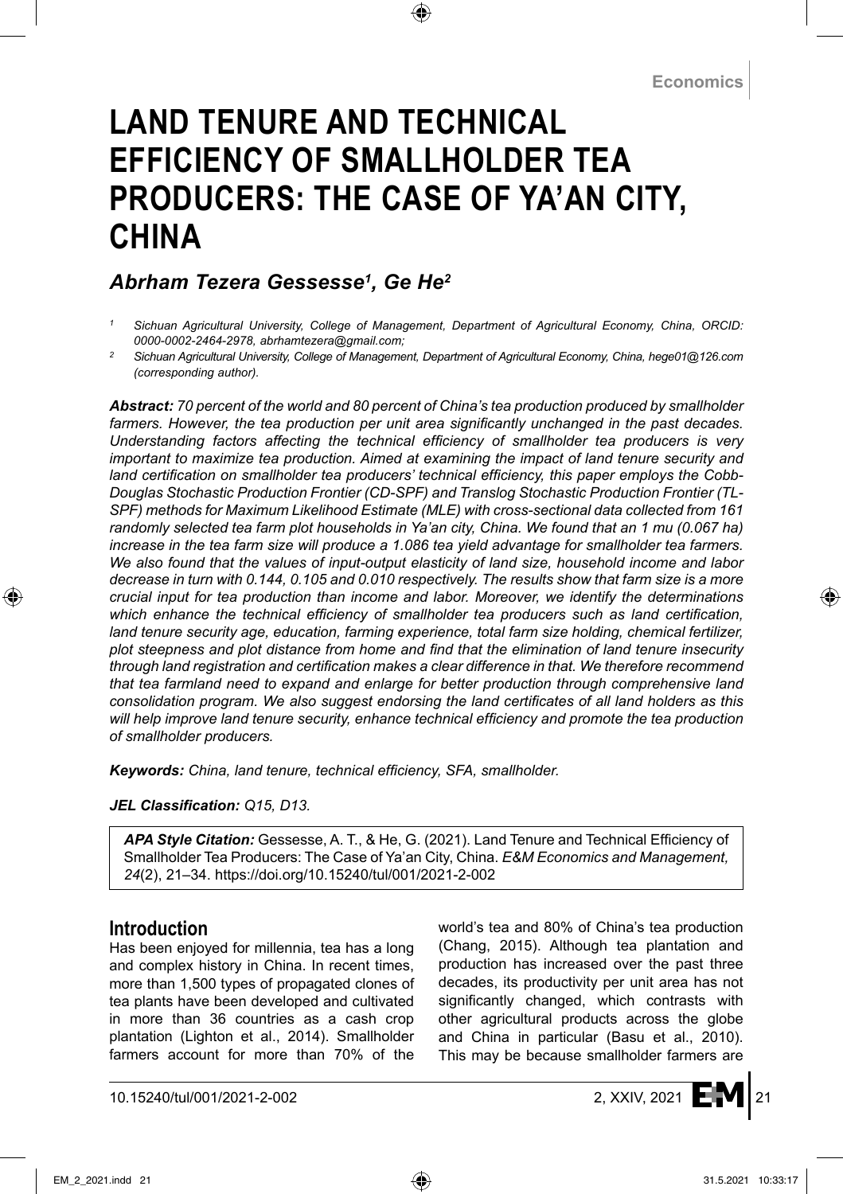# **LAND TENURE AND TECHNICAL EFFICIENCY OF SMALLHOLDER TEA PRODUCERS: THE CASE OF YA'AN CITY, CHINA**

# *Abrham Tezera Gessesse1 , Ge He2*

- *<sup>1</sup> Sichuan Agricultural University, College of Management, Department of Agricultural Economy, China, ORCID: 0000-0002-2464-2978, abrhamtezera@gmail.com;*
- *<sup>2</sup> Sichuan Agricultural University, College of Management, Department of Agricultural Economy, China, hege01@126.com (corresponding author).*

*Abstract: 70 percent of the world and 80 percent of China's tea production produced by smallholder*  farmers. However, the tea production per unit area significantly unchanged in the past decades. *Understanding factors affecting the technical efficiency of smallholder tea producers is very important to maximize tea production. Aimed at examining the impact of land tenure security and land certification on smallholder tea producers' technical efficiency, this paper employs the Cobb-Douglas Stochastic Production Frontier (CD-SPF) and Translog Stochastic Production Frontier (TL-SPF) methods for Maximum Likelihood Estimate (MLE) with cross-sectional data collected from 161 randomly selected tea farm plot households in Ya'an city, China. We found that an 1 mu (0.067 ha) increase in the tea farm size will produce a 1.086 tea yield advantage for smallholder tea farmers. We also found that the values of input-output elasticity of land size, household income and labor decrease in turn with 0.144, 0.105 and 0.010 respectively. The results show that farm size is a more crucial input for tea production than income and labor. Moreover, we identify the determinations*  which enhance the technical efficiency of smallholder tea producers such as land certification, *land tenure security age, education, farming experience, total farm size holding, chemical fertilizer, plot steepness and plot distance from home and find that the elimination of land tenure insecurity through land registration and certification makes a clear difference in that. We therefore recommend that tea farmland need to expand and enlarge for better production through comprehensive land consolidation program. We also suggest endorsing the land certificates of all land holders as this will help improve land tenure security, enhance technical efficiency and promote the tea production of smallholder producers.* 

*Keywords: China, land tenure, technical efficiency, SFA, smallholder.*

#### *JEL Classification: Q15, D13.*

*APA Style Citation:* Gessesse, A. T., & He, G. (2021). Land Tenure and Technical Efficiency of Smallholder Tea Producers: The Case of Ya'an City, China. *E&M Economics and Management, 24*(2), 21–34. https://doi.org/10.15240/tul/001/2021-2-002

### **Introduction**

Has been enjoyed for millennia, tea has a long and complex history in China. In recent times, more than 1,500 types of propagated clones of tea plants have been developed and cultivated in more than 36 countries as a cash crop plantation (Lighton et al., 2014). Smallholder farmers account for more than 70% of the world's tea and 80% of China's tea production (Chang, 2015). Although tea plantation and production has increased over the past three decades, its productivity per unit area has not significantly changed, which contrasts with other agricultural products across the globe and China in particular (Basu et al., 2010). This may be because smallholder farmers are

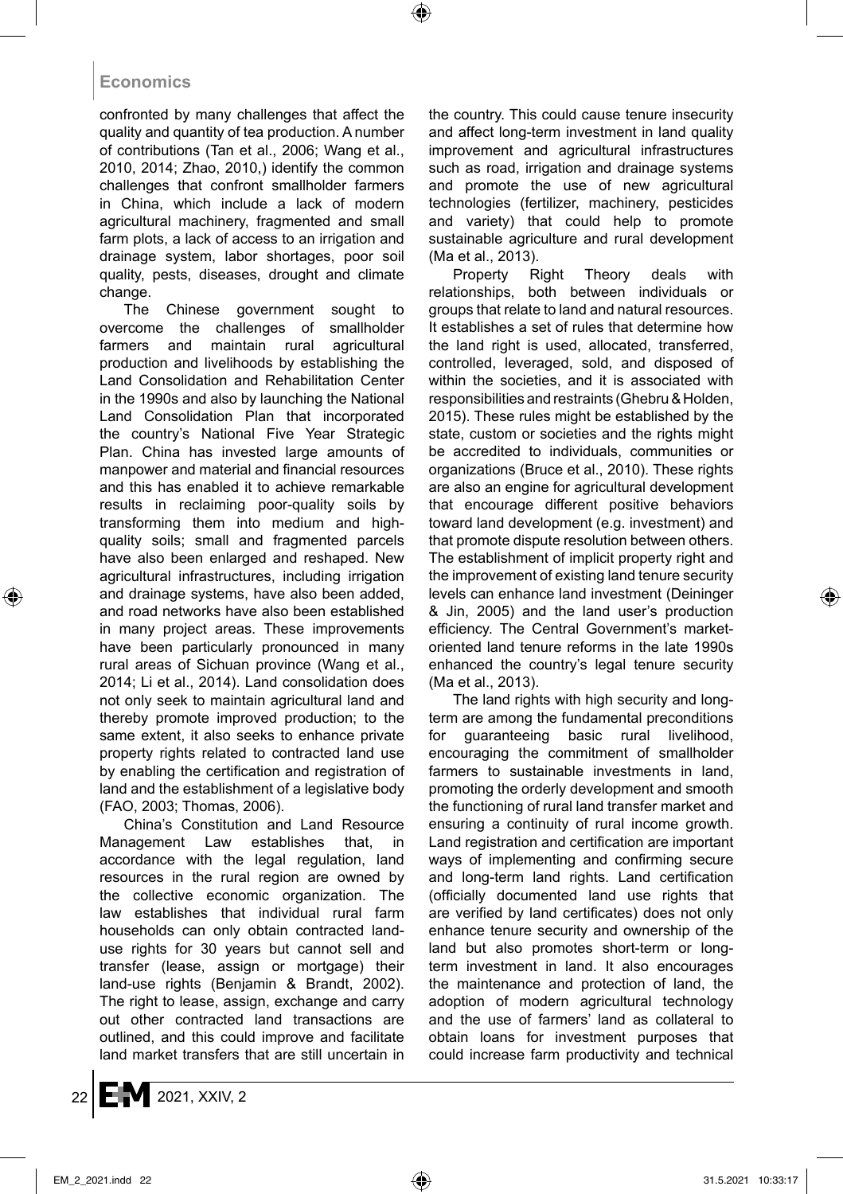confronted by many challenges that affect the quality and quantity of tea production. A number of contributions (Tan et al., 2006; Wang et al., 2010, 2014; Zhao, 2010,) identify the common challenges that confront smallholder farmers in China, which include a lack of modern agricultural machinery, fragmented and small farm plots, a lack of access to an irrigation and drainage system, labor shortages, poor soil quality, pests, diseases, drought and climate change.

The Chinese government sought to overcome the challenges of smallholder farmers and maintain rural agricultural production and livelihoods by establishing the Land Consolidation and Rehabilitation Center in the 1990s and also by launching the National Land Consolidation Plan that incorporated the country's National Five Year Strategic Plan. China has invested large amounts of manpower and material and financial resources and this has enabled it to achieve remarkable results in reclaiming poor-quality soils by transforming them into medium and highquality soils; small and fragmented parcels have also been enlarged and reshaped. New agricultural infrastructures, including irrigation and drainage systems, have also been added, and road networks have also been established in many project areas. These improvements have been particularly pronounced in many rural areas of Sichuan province (Wang et al., 2014; Li et al., 2014). Land consolidation does not only seek to maintain agricultural land and thereby promote improved production; to the same extent, it also seeks to enhance private property rights related to contracted land use by enabling the certification and registration of land and the establishment of a legislative body (FAO, 2003; Thomas, 2006).

China's Constitution and Land Resource Management Law establishes that, in accordance with the legal regulation, land resources in the rural region are owned by the collective economic organization. The law establishes that individual rural farm households can only obtain contracted landuse rights for 30 years but cannot sell and transfer (lease, assign or mortgage) their land-use rights (Benjamin & Brandt, 2002). The right to lease, assign, exchange and carry out other contracted land transactions are outlined, and this could improve and facilitate land market transfers that are still uncertain in the country. This could cause tenure insecurity and affect long-term investment in land quality improvement and agricultural infrastructures such as road, irrigation and drainage systems and promote the use of new agricultural technologies (fertilizer, machinery, pesticides and variety) that could help to promote sustainable agriculture and rural development (Ma et al., 2013).

Property Right Theory deals with relationships, both between individuals or groups that relate to land and natural resources. It establishes a set of rules that determine how the land right is used, allocated, transferred, controlled, leveraged, sold, and disposed of within the societies, and it is associated with responsibilities and restraints (Ghebru & Holden, 2015). These rules might be established by the state, custom or societies and the rights might be accredited to individuals, communities or organizations (Bruce et al., 2010). These rights are also an engine for agricultural development that encourage different positive behaviors toward land development (e.g. investment) and that promote dispute resolution between others. The establishment of implicit property right and the improvement of existing land tenure security levels can enhance land investment (Deininger & Jin, 2005) and the land user's production efficiency. The Central Government's marketoriented land tenure reforms in the late 1990s enhanced the country's legal tenure security (Ma et al., 2013).

The land rights with high security and longterm are among the fundamental preconditions for guaranteeing basic rural livelihood, encouraging the commitment of smallholder farmers to sustainable investments in land, promoting the orderly development and smooth the functioning of rural land transfer market and ensuring a continuity of rural income growth. Land registration and certification are important ways of implementing and confirming secure and long-term land rights. Land certification (officially documented land use rights that are verified by land certificates) does not only enhance tenure security and ownership of the land but also promotes short-term or longterm investment in land. It also encourages the maintenance and protection of land, the adoption of modern agricultural technology and the use of farmers' land as collateral to obtain loans for investment purposes that could increase farm productivity and technical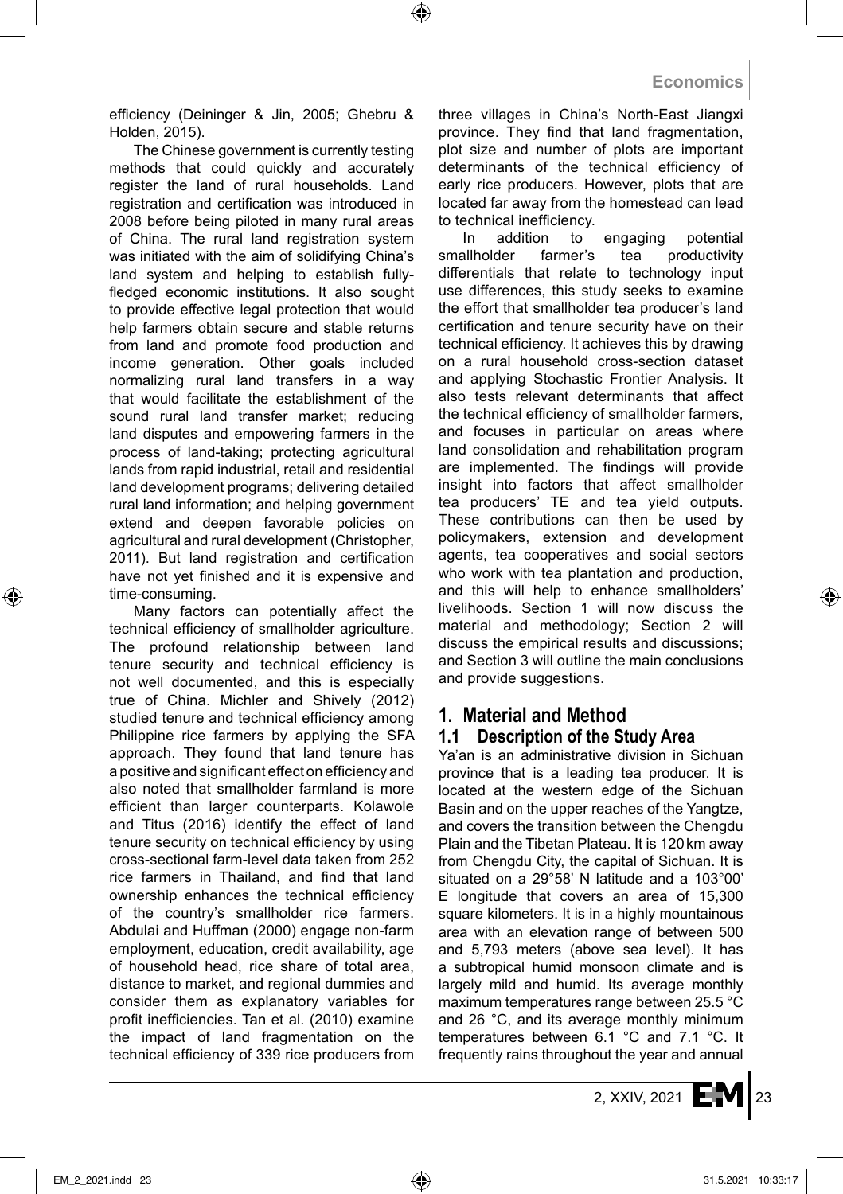efficiency (Deininger & Jin, 2005; Ghebru & Holden, 2015).

The Chinese government is currently testing methods that could quickly and accurately register the land of rural households. Land registration and certification was introduced in 2008 before being piloted in many rural areas of China. The rural land registration system was initiated with the aim of solidifying China's land system and helping to establish fullyfledged economic institutions. It also sought to provide effective legal protection that would help farmers obtain secure and stable returns from land and promote food production and income generation. Other goals included normalizing rural land transfers in a way that would facilitate the establishment of the sound rural land transfer market; reducing land disputes and empowering farmers in the process of land-taking; protecting agricultural lands from rapid industrial, retail and residential land development programs; delivering detailed rural land information; and helping government extend and deepen favorable policies on agricultural and rural development (Christopher, 2011). But land registration and certification have not yet finished and it is expensive and time-consuming.

Many factors can potentially affect the technical efficiency of smallholder agriculture. The profound relationship between land tenure security and technical efficiency is not well documented, and this is especially true of China. Michler and Shively (2012) studied tenure and technical efficiency among Philippine rice farmers by applying the SFA approach. They found that land tenure has a positive and significant effect on efficiency and also noted that smallholder farmland is more efficient than larger counterparts. Kolawole and Titus (2016) identify the effect of land tenure security on technical efficiency by using cross-sectional farm-level data taken from 252 rice farmers in Thailand, and find that land ownership enhances the technical efficiency of the country's smallholder rice farmers. Abdulai and Huffman (2000) engage non-farm employment, education, credit availability, age of household head, rice share of total area, distance to market, and regional dummies and consider them as explanatory variables for profit inefficiencies. Tan et al. (2010) examine the impact of land fragmentation on the technical efficiency of 339 rice producers from three villages in China's North-East Jiangxi province. They find that land fragmentation, plot size and number of plots are important determinants of the technical efficiency of early rice producers. However, plots that are located far away from the homestead can lead to technical inefficiency.

In addition to engaging potential smallholder farmer's tea productivity differentials that relate to technology input use differences, this study seeks to examine the effort that smallholder tea producer's land certification and tenure security have on their technical efficiency. It achieves this by drawing on a rural household cross-section dataset and applying Stochastic Frontier Analysis. It also tests relevant determinants that affect the technical efficiency of smallholder farmers, and focuses in particular on areas where land consolidation and rehabilitation program are implemented. The findings will provide insight into factors that affect smallholder tea producers' TE and tea yield outputs. These contributions can then be used by policymakers, extension and development agents, tea cooperatives and social sectors who work with tea plantation and production, and this will help to enhance smallholders' livelihoods. Section 1 will now discuss the material and methodology; Section 2 will discuss the empirical results and discussions; and Section 3 will outline the main conclusions and provide suggestions.

# **1. Material and Method**

### **1.1 Description of the Study Area**

Ya'an is an administrative division in Sichuan province that is a leading tea producer. It is located at the western edge of the Sichuan Basin and on the upper reaches of the Yangtze, and covers the transition between the Chengdu Plain and the Tibetan Plateau. It is 120km away from Chengdu City, the capital of Sichuan. It is situated on a 29°58' N latitude and a 103°00' E longitude that covers an area of 15,300 square kilometers. It is in a highly mountainous area with an elevation range of between 500 and 5,793 meters (above sea level). It has a subtropical humid monsoon climate and is largely mild and humid. Its average monthly maximum temperatures range between 25.5 °C and 26 °C, and its average monthly minimum temperatures between 6.1 °C and 7.1 °C. It frequently rains throughout the year and annual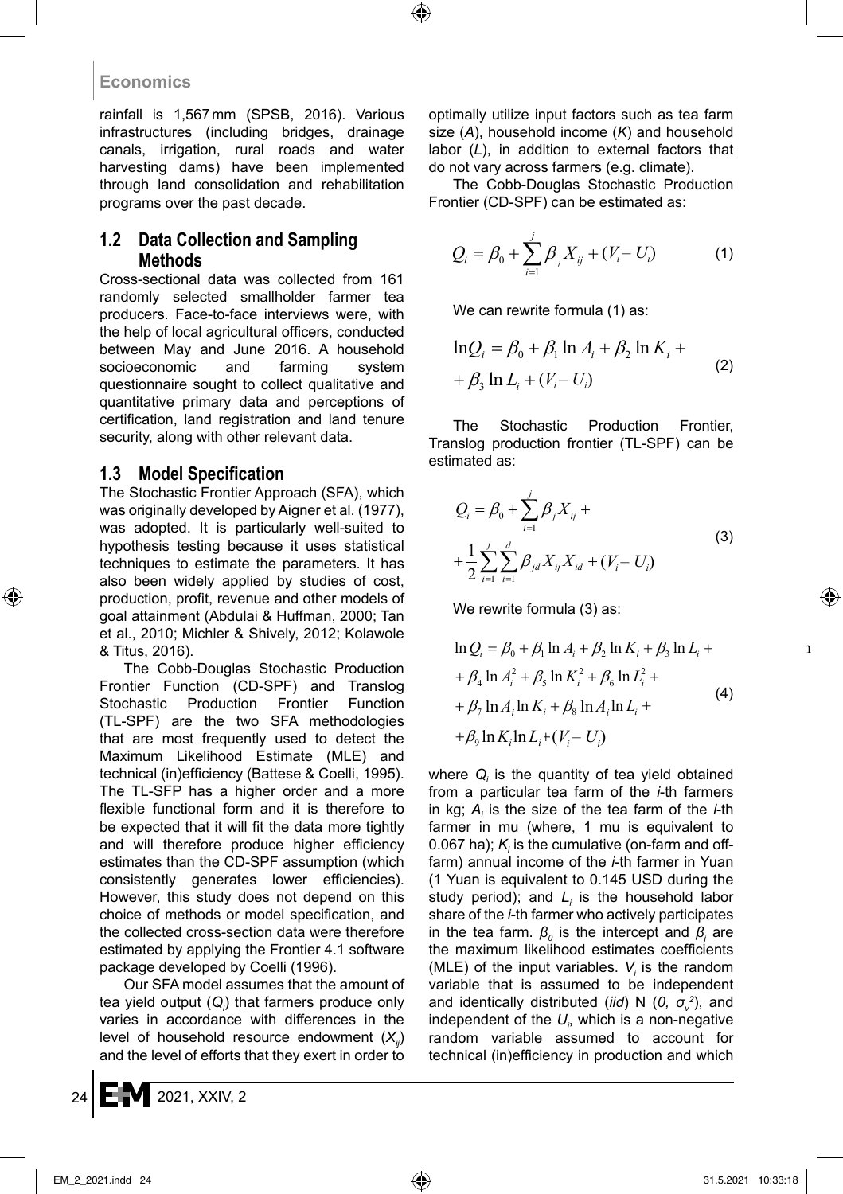rainfall is 1,567mm (SPSB, 2016). Various infrastructures (including bridges, drainage canals, irrigation, rural roads and water harvesting dams) have been implemented through land consolidation and rehabilitation programs over the past decade.

### **1.2 Data Collection and Sampling Methods**

Cross-sectional data was collected from 161 randomly selected smallholder farmer tea producers. Face-to-face interviews were, with the help of local agricultural officers, conducted between May and June 2016. A household<br>socioeconomic and farming system socioeconomic and farming system questionnaire sought to collect qualitative and  $+ \beta_3 \ln L_i + (V_i - U_i)$ quantitative primary data and perceptions of certification, land registration and land tenure security, along with other relevant data.

### **1.3 Model Specification**

The Stochastic Frontier Approach (SFA), which was originally developed by Aigner et al. (1977), was adopted. It is particularly well-suited to hypothesis testing because it uses statistical techniques to estimate the parameters. It has  $+\frac{1}{2}\sum_{j} \sum_{j} \beta_{ji} X_{ij} X_{id} + (V_i - U_i)$ also been widely applied by studies of cost, production, profit, revenue and other models of goal attainment (Abdulai & Huffman, 2000; Tan et al., 2010; Michler & Shively, 2012; Kolawole & Titus, 2016).

The Cobb-Douglas Stochastic Production Frontier Function (CD-SPF) and Translog  $+ \beta_4 \ln A_i^2 + \beta_5 \ln K_i^2 + \beta_6 \ln L_i^2 +$  (4) Stochastic Production Frontier Function  $+ \beta_7 \ln A_i \ln K_i + \beta_8 \ln A_i \ln L$ The second of the two SFA methodologies  $(TL\text{-}SPF)$  are the two SFA methodologies that are most frequently used to detect the Maximum Likelihood Estimate (MLE) and technical (in)efficiency (Battese & Coelli, 1995). The TL-SFP has a higher order and a more flexible functional form and it is therefore to be expected that it will fit the data more tightly and will therefore produce higher efficiency estimates than the CD-SPF assumption (which consistently generates lower efficiencies). However, this study does not depend on this choice of methods or model specification, and the collected cross-section data were therefore estimated by applying the Frontier 4.1 software package developed by Coelli (1996).

Our SFA model assumes that the amount of tea yield output (*Q<sup>i</sup>* ) that farmers produce only varies in accordance with differences in the level of household resource endowment (*Xij*) and the level of efforts that they exert in order to

optimally utilize input factors such as tea farm size (*A*), household income (*K*) and household labor (*L*), in addition to external factors that do not vary across farmers (e.g. climate).

The Cobb-Douglas Stochastic Production Frontier (CD-SPF) can be estimated as:

$$
Q_i = \beta_0 + \sum_{i=1}^{j} \beta_j X_{ij} + (V_i - U_i)
$$
 (1)

We can rewrite formula (1) as:

$$
\ln Q_i = \beta_0 + \beta_1 \ln A_i + \beta_2 \ln K_i + + \beta_3 \ln L_i + (V_i - U_i)
$$
 (2)

The Stochastic Production Frontier, Translog production frontier (TL-SPF) can be estimated as:

h  
\n0,  
\n
$$
Q_{i} = \beta_{0} + \sum_{i=1}^{j} \beta_{j} X_{ij} +
$$
\n
$$
+ \frac{1}{2} \sum_{i=1}^{j} \sum_{i=1}^{d} \beta_{jd} X_{ij} X_{id} + (V_{i} - U_{i})
$$
\n(3)

We rewrite formula (3) as:

$$
\ln Q_i = \beta_0 + \beta_1 \ln A_i + \beta_2 \ln K_i + \beta_3 \ln L_i ++ \beta_4 \ln A_i^2 + \beta_5 \ln K_i^2 + \beta_6 \ln L_i^2 ++ \beta_7 \ln A_i \ln K_i + \beta_8 \ln A_i \ln L_i ++ \beta_9 \ln K_i \ln L_i + (V_i - U_i)
$$
\n(4)

where *Q<sup>i</sup>* is the quantity of tea yield obtained from a particular tea farm of the *i*-th farmers in kg;  $A_i$  is the size of the tea farm of the *i*-th farmer in mu (where, 1 mu is equivalent to 0.067 ha);  $K_i$  is the cumulative (on-farm and offfarm) annual income of the *i*-th farmer in Yuan (1 Yuan is equivalent to 0.145 USD during the study period); and *L<sup>i</sup>* is the household labor share of the *i*-th farmer who actively participates in the tea farm.  $\beta_o$  is the intercept and  $\beta_j$  are the maximum likelihood estimates coefficients (MLE) of the input variables.  $V_i$  is the random variable that is assumed to be independent and identically distributed (*iid*) N (*0, σ<sup>v</sup> 2* ), and independent of the  $U_{\scriptscriptstyle p}$ , which is a non-negative random variable assumed to account for technical (in)efficiency in production and which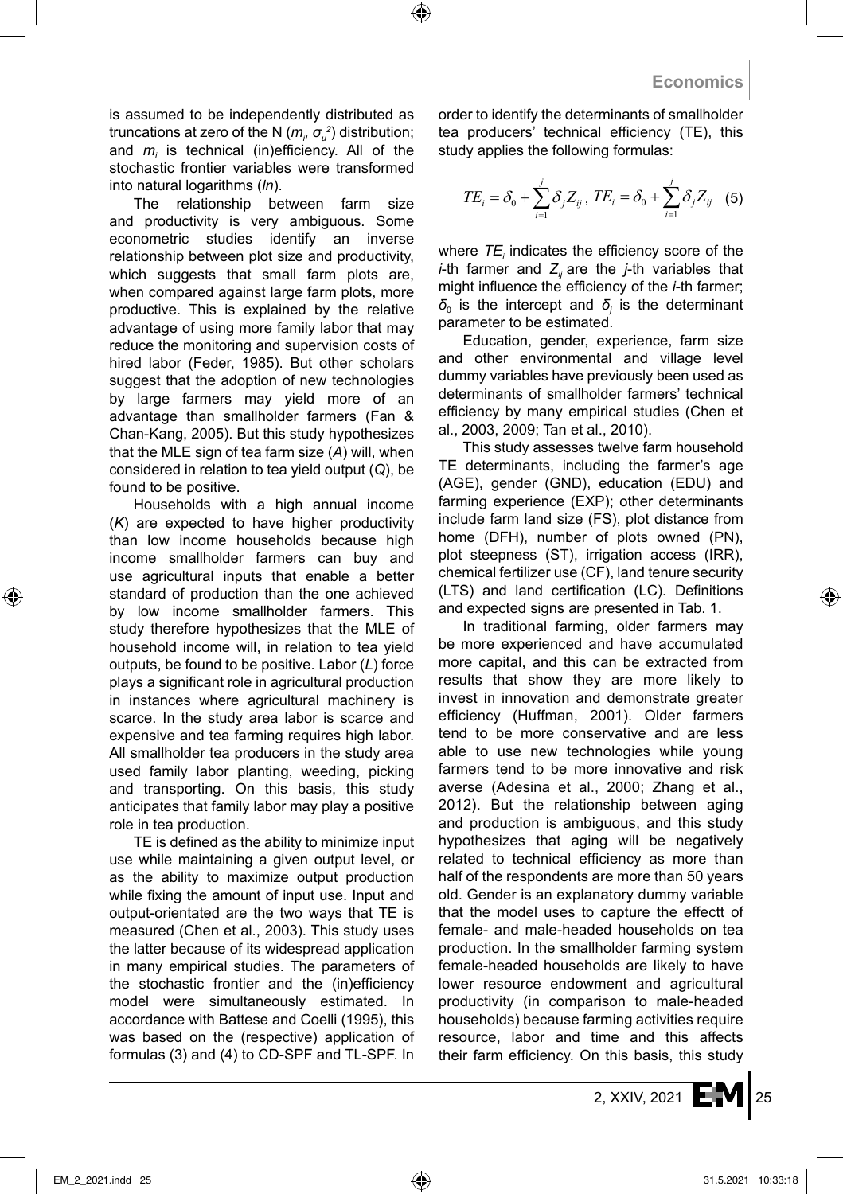is assumed to be independently distributed as truncations at zero of the N  $(m_p, \sigma_a^2)$  distribution; and *m<sup>i</sup>* is technical (in)efficiency. All of the stochastic frontier variables were transformed into natural logarithms (*ln*).

The relationship between farm size and productivity is very ambiguous. Some econometric studies identify an inverse relationship between plot size and productivity, which suggests that small farm plots are, when compared against large farm plots, more productive. This is explained by the relative advantage of using more family labor that may reduce the monitoring and supervision costs of hired labor (Feder, 1985). But other scholars suggest that the adoption of new technologies by large farmers may yield more of an advantage than smallholder farmers (Fan & Chan-Kang, 2005). But this study hypothesizes that the MLE sign of tea farm size (*A*) will, when considered in relation to tea yield output (*Q*), be found to be positive.

Households with a high annual income (*K*) are expected to have higher productivity than low income households because high income smallholder farmers can buy and use agricultural inputs that enable a better standard of production than the one achieved by low income smallholder farmers. This study therefore hypothesizes that the MLE of household income will, in relation to tea yield outputs, be found to be positive. Labor (*L*) force plays a significant role in agricultural production in instances where agricultural machinery is scarce. In the study area labor is scarce and expensive and tea farming requires high labor. All smallholder tea producers in the study area used family labor planting, weeding, picking and transporting. On this basis, this study anticipates that family labor may play a positive role in tea production.

TE is defined as the ability to minimize input use while maintaining a given output level, or as the ability to maximize output production while fixing the amount of input use. Input and output-orientated are the two ways that TE is measured (Chen et al., 2003). This study uses the latter because of its widespread application in many empirical studies. The parameters of the stochastic frontier and the (in)efficiency model were simultaneously estimated. In accordance with Battese and Coelli (1995), this was based on the (respective) application of formulas (3) and (4) to CD-SPF and TL-SPF. In order to identify the determinants of smallholder tea producers' technical efficiency (TE), this study applies the following formulas:

$$
TE_{i} = \delta_{0} + \sum_{i=1}^{j} \delta_{j} Z_{ij}, TE_{i} = \delta_{0} + \sum_{i=1}^{j} \delta_{j} Z_{ij}
$$
 (5)

where *TE<sup>i</sup>* indicates the efficiency score of the *i*-th farmer and  $Z_i$  are the *j*-th variables that might influence the efficiency of the *i*-th farmer;  $\delta$ <sub>0</sub> is the intercept and  $\delta$ <sub>j</sub> is the determinant parameter to be estimated.

Education, gender, experience, farm size and other environmental and village level dummy variables have previously been used as determinants of smallholder farmers' technical efficiency by many empirical studies (Chen et al., 2003, 2009; Tan et al., 2010).

This study assesses twelve farm household TE determinants, including the farmer's age (AGE), gender (GND), education (EDU) and farming experience (EXP); other determinants include farm land size (FS), plot distance from home (DFH), number of plots owned (PN), plot steepness (ST), irrigation access (IRR), chemical fertilizer use (CF), land tenure security (LTS) and land certification (LC). Definitions and expected signs are presented in Tab. 1.

In traditional farming, older farmers may be more experienced and have accumulated more capital, and this can be extracted from results that show they are more likely to invest in innovation and demonstrate greater efficiency (Huffman, 2001). Older farmers tend to be more conservative and are less able to use new technologies while young farmers tend to be more innovative and risk averse (Adesina et al., 2000; Zhang et al., 2012). But the relationship between aging and production is ambiguous, and this study hypothesizes that aging will be negatively related to technical efficiency as more than half of the respondents are more than 50 years old. Gender is an explanatory dummy variable that the model uses to capture the effectt of female- and male-headed households on tea production. In the smallholder farming system female-headed households are likely to have lower resource endowment and agricultural productivity (in comparison to male-headed households) because farming activities require resource, labor and time and this affects their farm efficiency. On this basis, this study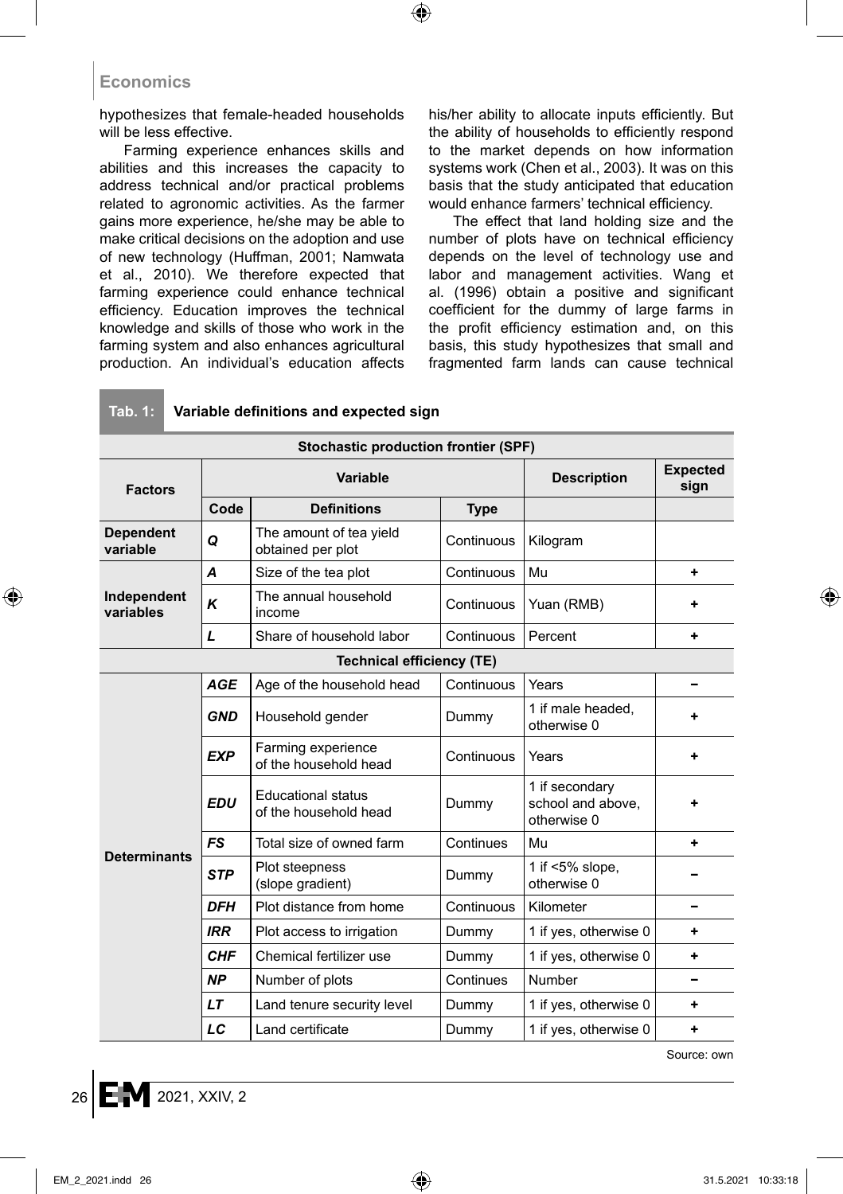hypothesizes that female-headed households will be less effective.

Farming experience enhances skills and abilities and this increases the capacity to address technical and/or practical problems related to agronomic activities. As the farmer gains more experience, he/she may be able to make critical decisions on the adoption and use of new technology (Huffman, 2001; Namwata et al., 2010). We therefore expected that farming experience could enhance technical efficiency. Education improves the technical knowledge and skills of those who work in the farming system and also enhances agricultural production. An individual's education affects his/her ability to allocate inputs efficiently. But the ability of households to efficiently respond to the market depends on how information systems work (Chen et al., 2003). It was on this basis that the study anticipated that education would enhance farmers' technical efficiency.

The effect that land holding size and the number of plots have on technical efficiency depends on the level of technology use and labor and management activities. Wang et al. (1996) obtain a positive and significant coefficient for the dummy of large farms in the profit efficiency estimation and, on this basis, this study hypothesizes that small and fragmented farm lands can cause technical

| <b>Stochastic production frontier (SPF)</b> |            |                                                    |                    |                                                    |   |  |  |  |  |  |
|---------------------------------------------|------------|----------------------------------------------------|--------------------|----------------------------------------------------|---|--|--|--|--|--|
| <b>Factors</b><br><b>Dependent</b>          |            | Variable                                           | <b>Description</b> | <b>Expected</b><br>sign                            |   |  |  |  |  |  |
|                                             | Code       | <b>Definitions</b>                                 | <b>Type</b>        |                                                    |   |  |  |  |  |  |
| variable                                    | Q          | The amount of tea yield<br>obtained per plot       | Continuous         | Kilogram                                           |   |  |  |  |  |  |
|                                             | A          | Size of the tea plot                               | Continuous         | Mu                                                 | ٠ |  |  |  |  |  |
| Independent<br>variables                    | K          | The annual household<br>income                     | Continuous         | Yuan (RMB)                                         | ٠ |  |  |  |  |  |
|                                             | L          | Share of household labor                           | Continuous         | Percent                                            | ٠ |  |  |  |  |  |
|                                             |            | <b>Technical efficiency (TE)</b>                   |                    |                                                    |   |  |  |  |  |  |
|                                             | <b>AGE</b> | Age of the household head                          | Continuous         | Years                                              | - |  |  |  |  |  |
|                                             | <b>GND</b> | Household gender                                   | Dummy              | 1 if male headed.<br>otherwise 0                   | ٠ |  |  |  |  |  |
|                                             | <b>EXP</b> | Farming experience<br>of the household head        | Continuous         | Years                                              | ٠ |  |  |  |  |  |
|                                             | <b>EDU</b> | <b>Educational status</b><br>of the household head | Dummy              | 1 if secondary<br>school and above,<br>otherwise 0 | ٠ |  |  |  |  |  |
|                                             | <b>FS</b>  | Total size of owned farm<br>Continues              |                    | Mu                                                 | ٠ |  |  |  |  |  |
| <b>Determinants</b>                         | <b>STP</b> | Plot steepness<br>(slope gradient)                 | Dummy              | 1 if $<5\%$ slope,<br>otherwise 0                  |   |  |  |  |  |  |
|                                             | <b>DFH</b> | Plot distance from home                            | Continuous         | Kilometer                                          | - |  |  |  |  |  |
|                                             | <b>IRR</b> | Plot access to irrigation                          | Dummy              | 1 if yes, otherwise 0                              | ٠ |  |  |  |  |  |
|                                             | <b>CHF</b> | Chemical fertilizer use                            | Dummy              | 1 if yes, otherwise 0                              | ٠ |  |  |  |  |  |
|                                             | <b>NP</b>  | Number of plots                                    | Continues          | Number                                             |   |  |  |  |  |  |
|                                             | LT         | Land tenure security level                         | Dummy              | 1 if yes, otherwise 0                              | ٠ |  |  |  |  |  |
|                                             | LC         | Land certificate                                   | Dummy              | 1 if yes, otherwise 0                              | ٠ |  |  |  |  |  |

#### **Tab. 1: Variable definitions and expected sign**

Source: own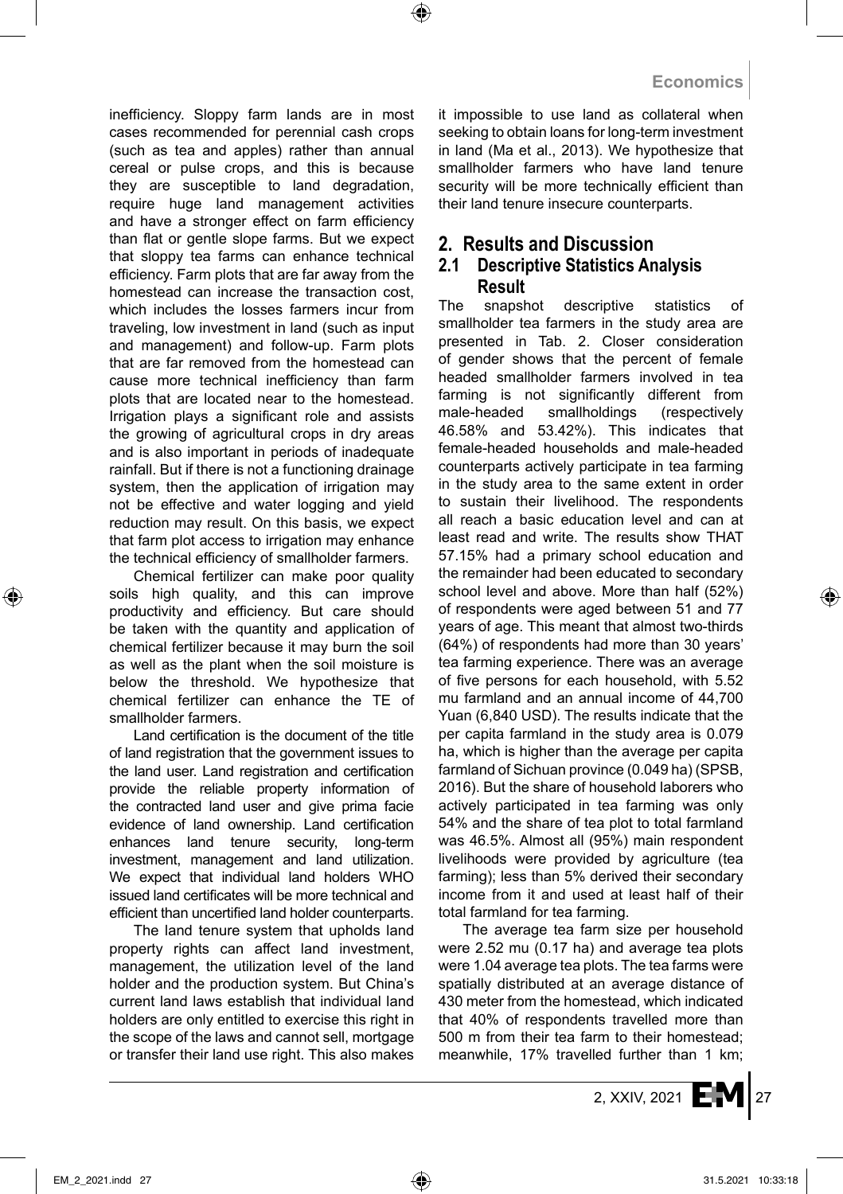inefficiency. Sloppy farm lands are in most cases recommended for perennial cash crops (such as tea and apples) rather than annual cereal or pulse crops, and this is because they are susceptible to land degradation, require huge land management activities and have a stronger effect on farm efficiency than flat or gentle slope farms. But we expect that sloppy tea farms can enhance technical efficiency. Farm plots that are far away from the homestead can increase the transaction cost, which includes the losses farmers incur from traveling, low investment in land (such as input and management) and follow-up. Farm plots that are far removed from the homestead can cause more technical inefficiency than farm plots that are located near to the homestead. Irrigation plays a significant role and assists the growing of agricultural crops in dry areas and is also important in periods of inadequate rainfall. But if there is not a functioning drainage system, then the application of irrigation may not be effective and water logging and yield reduction may result. On this basis, we expect that farm plot access to irrigation may enhance the technical efficiency of smallholder farmers.

Chemical fertilizer can make poor quality soils high quality, and this can improve productivity and efficiency. But care should be taken with the quantity and application of chemical fertilizer because it may burn the soil as well as the plant when the soil moisture is below the threshold. We hypothesize that chemical fertilizer can enhance the TE of smallholder farmers.

Land certification is the document of the title of land registration that the government issues to the land user. Land registration and certification provide the reliable property information of the contracted land user and give prima facie evidence of land ownership. Land certification enhances land tenure security, long-term investment, management and land utilization. We expect that individual land holders WHO issued land certificates will be more technical and efficient than uncertified land holder counterparts.

The land tenure system that upholds land property rights can affect land investment, management, the utilization level of the land holder and the production system. But China's current land laws establish that individual land holders are only entitled to exercise this right in the scope of the laws and cannot sell, mortgage or transfer their land use right. This also makes it impossible to use land as collateral when seeking to obtain loans for long-term investment in land (Ma et al., 2013). We hypothesize that smallholder farmers who have land tenure security will be more technically efficient than their land tenure insecure counterparts.

# **2. Results and Discussion**

### **2.1 Descriptive Statistics Analysis Result**

The snapshot descriptive statistics of smallholder tea farmers in the study area are presented in Tab. 2. Closer consideration of gender shows that the percent of female headed smallholder farmers involved in tea farming is not significantly different from male-headed smallholdings (respectively 46.58% and 53.42%). This indicates that female-headed households and male-headed counterparts actively participate in tea farming in the study area to the same extent in order to sustain their livelihood. The respondents all reach a basic education level and can at least read and write. The results show THAT 57.15% had a primary school education and the remainder had been educated to secondary school level and above. More than half (52%) of respondents were aged between 51 and 77 years of age. This meant that almost two-thirds (64%) of respondents had more than 30 years' tea farming experience. There was an average of five persons for each household, with 5.52 mu farmland and an annual income of 44,700 Yuan (6,840 USD). The results indicate that the per capita farmland in the study area is 0.079 ha, which is higher than the average per capita farmland of Sichuan province (0.049 ha) (SPSB, 2016). But the share of household laborers who actively participated in tea farming was only 54% and the share of tea plot to total farmland was 46.5%. Almost all (95%) main respondent livelihoods were provided by agriculture (tea farming); less than 5% derived their secondary income from it and used at least half of their total farmland for tea farming.

The average tea farm size per household were 2.52 mu (0.17 ha) and average tea plots were 1.04 average tea plots. The tea farms were spatially distributed at an average distance of 430 meter from the homestead, which indicated that 40% of respondents travelled more than 500 m from their tea farm to their homestead; meanwhile, 17% travelled further than 1 km;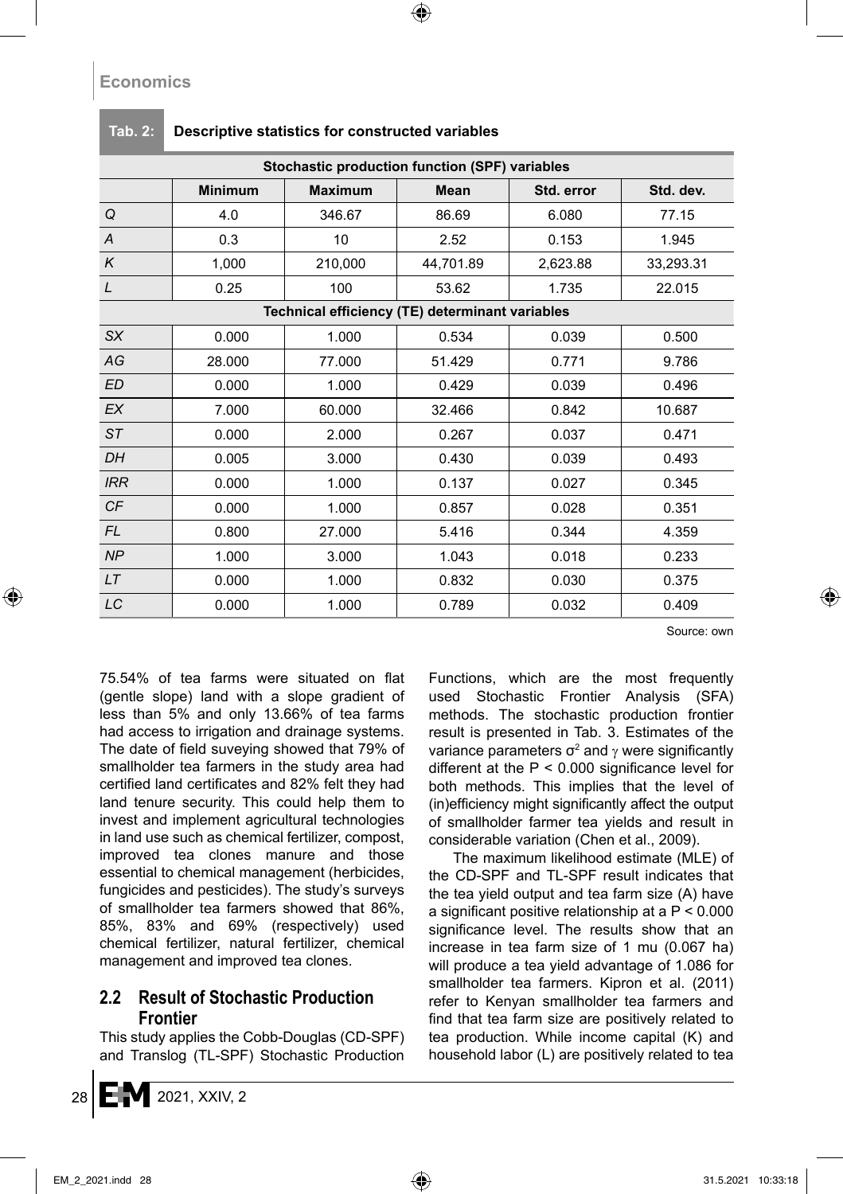| Stochastic production function (SPF) variables |                |                                                 |             |            |           |  |  |  |  |  |
|------------------------------------------------|----------------|-------------------------------------------------|-------------|------------|-----------|--|--|--|--|--|
|                                                | <b>Minimum</b> | <b>Maximum</b>                                  | <b>Mean</b> | Std. error | Std. dev. |  |  |  |  |  |
| Q                                              | 4.0            | 346.67                                          | 86.69       | 6.080      | 77.15     |  |  |  |  |  |
| A                                              | 0.3            | 10                                              | 2.52        | 0.153      | 1.945     |  |  |  |  |  |
| K                                              | 1,000          | 210,000                                         | 44,701.89   | 2,623.88   | 33,293.31 |  |  |  |  |  |
| L                                              | 0.25           | 100                                             | 53.62       | 1.735      | 22.015    |  |  |  |  |  |
|                                                |                | Technical efficiency (TE) determinant variables |             |            |           |  |  |  |  |  |
| <b>SX</b>                                      | 0.000          | 1.000                                           | 0.534       | 0.039      | 0.500     |  |  |  |  |  |
| AG                                             | 28.000         | 77.000                                          | 51.429      | 0.771      | 9.786     |  |  |  |  |  |
| ED                                             | 0.000          | 1.000                                           | 0.429       | 0.039      | 0.496     |  |  |  |  |  |
| <b>EX</b>                                      | 7.000          | 60.000                                          | 32.466      | 0.842      | 10.687    |  |  |  |  |  |
| ST                                             | 0.000          | 2.000                                           | 0.267       | 0.037      | 0.471     |  |  |  |  |  |
| DH                                             | 0.005          | 3.000                                           | 0.430       | 0.039      | 0.493     |  |  |  |  |  |
| <b>IRR</b>                                     | 0.000          | 1.000                                           | 0.137       | 0.027      | 0.345     |  |  |  |  |  |
| CF                                             | 0.000          | 1.000                                           | 0.857       | 0.028      | 0.351     |  |  |  |  |  |
| FL.                                            | 0.800          | 27.000                                          | 5.416       | 0.344      | 4.359     |  |  |  |  |  |
| NP                                             | 1.000          | 3.000                                           | 1.043       | 0.018      | 0.233     |  |  |  |  |  |
| <b>LT</b>                                      | 0.000          | 1.000                                           | 0.832       | 0.030      | 0.375     |  |  |  |  |  |
| LC                                             | 0.000          | 1.000                                           | 0.789       | 0.032      | 0.409     |  |  |  |  |  |

#### **Tab. 2: Descriptive statistics for constructed variables**

Source: own

75.54% of tea farms were situated on flat (gentle slope) land with a slope gradient of less than 5% and only 13.66% of tea farms had access to irrigation and drainage systems. The date of field suveying showed that 79% of smallholder tea farmers in the study area had certified land certificates and 82% felt they had land tenure security. This could help them to invest and implement agricultural technologies in land use such as chemical fertilizer, compost, improved tea clones manure and those essential to chemical management (herbicides, fungicides and pesticides). The study's surveys of smallholder tea farmers showed that 86%, 85%, 83% and 69% (respectively) used chemical fertilizer, natural fertilizer, chemical management and improved tea clones.

### **2.2 Result of Stochastic Production Frontier**

This study applies the Cobb-Douglas (CD-SPF) and Translog (TL-SPF) Stochastic Production Functions, which are the most frequently used Stochastic Frontier Analysis (SFA) methods. The stochastic production frontier result is presented in Tab. 3. Estimates of the variance parameters  $\sigma^2$  and  $\gamma$  were significantly different at the  $P < 0.000$  significance level for both methods. This implies that the level of (in)efficiency might significantly affect the output of smallholder farmer tea yields and result in considerable variation (Chen et al., 2009).

The maximum likelihood estimate (MLE) of the CD-SPF and TL-SPF result indicates that the tea yield output and tea farm size (A) have a significant positive relationship at a P < 0.000 significance level. The results show that an increase in tea farm size of 1 mu (0.067 ha) will produce a tea yield advantage of 1.086 for smallholder tea farmers. Kipron et al. (2011) refer to Kenyan smallholder tea farmers and find that tea farm size are positively related to tea production. While income capital (K) and household labor (L) are positively related to tea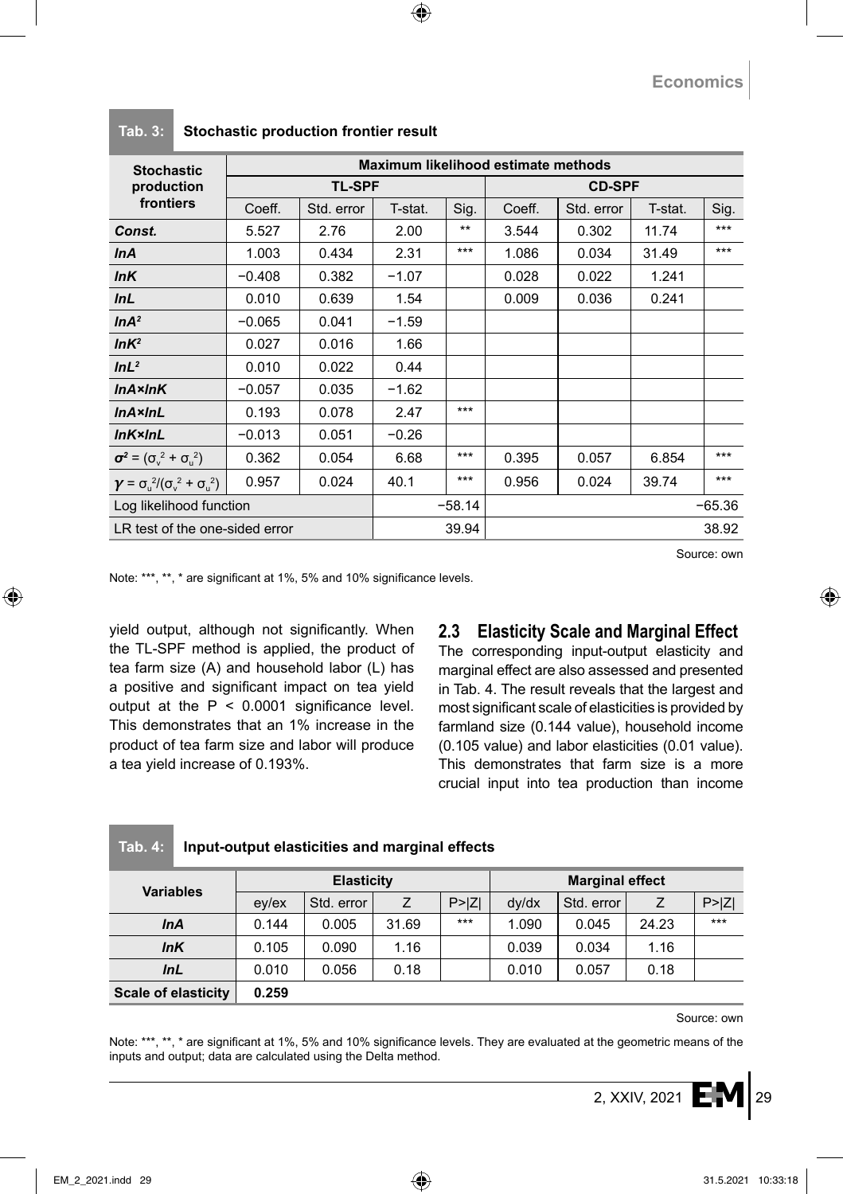| <b>Stochastic</b>                                                 | Maximum likelihood estimate methods |            |         |          |               |            |         |          |  |
|-------------------------------------------------------------------|-------------------------------------|------------|---------|----------|---------------|------------|---------|----------|--|
| production                                                        | <b>TL-SPF</b>                       |            |         |          | <b>CD-SPF</b> |            |         |          |  |
| frontiers                                                         | Coeff.                              | Std. error | T-stat. | Sig.     | Coeff.        | Std. error | T-stat. | Sig.     |  |
| Const.                                                            | 5.527                               | 2.76       | 2.00    | $***$    | 3.544         | 0.302      | 11.74   | ***      |  |
| <b>InA</b>                                                        | 1.003                               | 0.434      | 2.31    | ***      | 1.086         | 0.034      | 31.49   | ***      |  |
| InK                                                               | $-0.408$                            | 0.382      | $-1.07$ |          | 0.028         | 0.022      | 1.241   |          |  |
| InL                                                               | 0.010                               | 0.639      | 1.54    |          | 0.009         | 0.036      | 0.241   |          |  |
| InA <sup>2</sup>                                                  | $-0.065$                            | 0.041      | $-1.59$ |          |               |            |         |          |  |
| InK <sup>2</sup>                                                  | 0.027                               | 0.016      | 1.66    |          |               |            |         |          |  |
| InL <sup>2</sup>                                                  | 0.010                               | 0.022      | 0.44    |          |               |            |         |          |  |
| $InA \times InK$                                                  | $-0.057$                            | 0.035      | $-1.62$ |          |               |            |         |          |  |
| $InA \times InL$                                                  | 0.193                               | 0.078      | 2.47    | ***      |               |            |         |          |  |
| InKxInL                                                           | $-0.013$                            | 0.051      | $-0.26$ |          |               |            |         |          |  |
| $\sigma^2 = (\sigma_{y}^2 + \sigma_{y}^2)$                        | 0.362                               | 0.054      | 6.68    | ***      | 0.395         | 0.057      | 6.854   | ***      |  |
| $\gamma = \sigma_{\rm u}^2/(\sigma_{\rm v}^2 + \sigma_{\rm u}^2)$ | 0.957                               | 0.024      | 40.1    | ***      | 0.956         | 0.024      | 39.74   | $***$    |  |
| Log likelihood function                                           |                                     |            |         | $-58.14$ |               |            |         | $-65.36$ |  |
| LR test of the one-sided error                                    |                                     |            |         | 39.94    |               |            |         | 38.92    |  |

### **Tab. 3: Stochastic production frontier result**

Source: own

Note: \*\*\*, \*\*, \* are significant at 1%, 5% and 10% significance levels.

**Tab. 4: Input-output elasticities and marginal effects**

yield output, although not significantly. When the TL-SPF method is applied, the product of tea farm size (A) and household labor (L) has a positive and significant impact on tea yield output at the  $P < 0.0001$  significance level. This demonstrates that an 1% increase in the product of tea farm size and labor will produce a tea yield increase of 0.193%.

# **2.3 Elasticity Scale and Marginal Effect**

The corresponding input-output elasticity and marginal effect are also assessed and presented in Tab. 4. The result reveals that the largest and most significant scale of elasticities is provided by farmland size (0.144 value), household income (0.105 value) and labor elasticities (0.01 value). This demonstrates that farm size is a more crucial input into tea production than income

| <b>Variables</b>           | <b>Elasticity</b>          |            |       |        | <b>Marginal effect</b> |            |       |        |
|----------------------------|----------------------------|------------|-------|--------|------------------------|------------|-------|--------|
|                            | $e$ <sub>V</sub> / $e$ $x$ | Std. error |       | P >  Z | dy/dx                  | Std. error |       | P >  Z |
| <b>InA</b>                 | 0.144                      | 0.005      | 31.69 | $***$  | 1.090                  | 0.045      | 24.23 | $***$  |
| InK                        | 0.105                      | 0.090      | 1.16  |        | 0.039                  | 0.034      | 1.16  |        |
| InL                        | 0.010                      | 0.056      | 0.18  |        | 0.010                  | 0.057      | 0.18  |        |
| <b>Scale of elasticity</b> | 0.259                      |            |       |        |                        |            |       |        |

Source: own

Note: \*\*\*, \*\*, \* are significant at 1%, 5% and 10% significance levels. They are evaluated at the geometric means of the inputs and output; data are calculated using the Delta method.

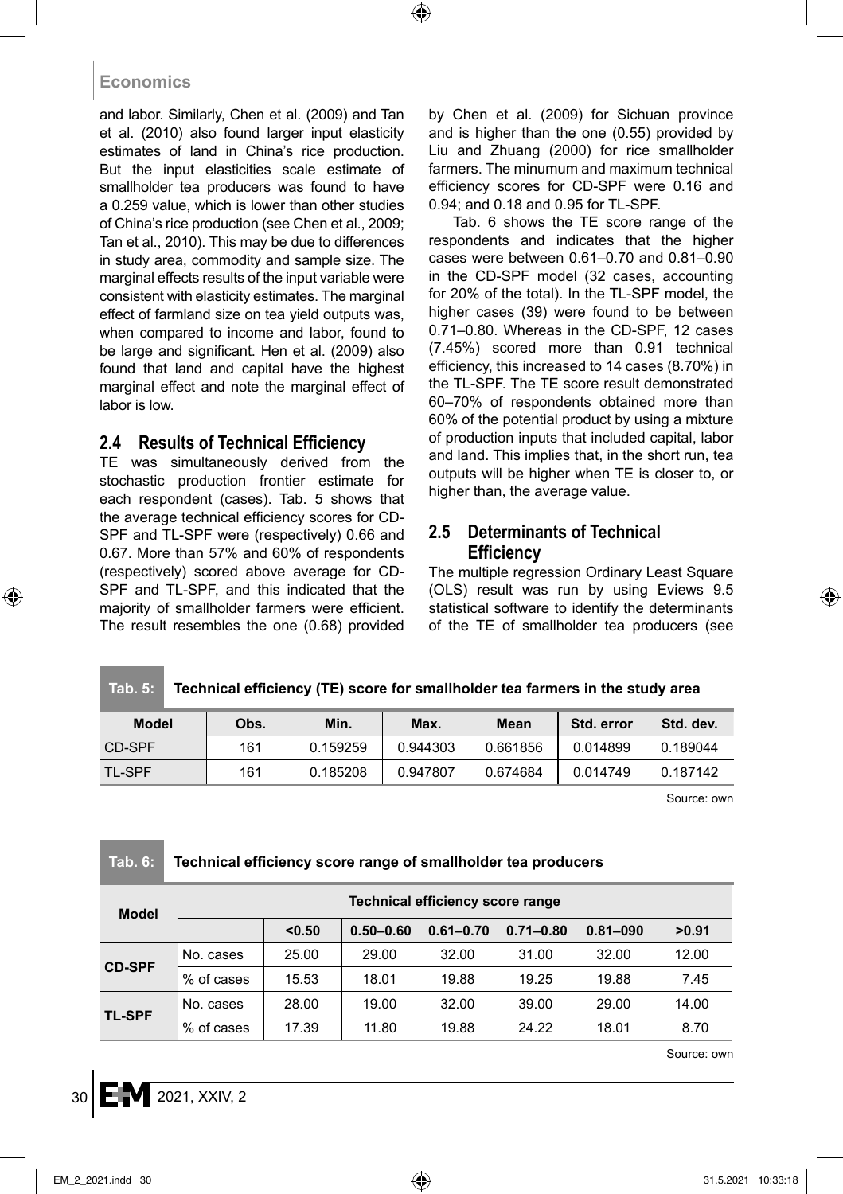and labor. Similarly, Chen et al. (2009) and Tan et al. (2010) also found larger input elasticity estimates of land in China's rice production. But the input elasticities scale estimate of smallholder tea producers was found to have a 0.259 value, which is lower than other studies of China's rice production (see Chen et al., 2009; Tan et al., 2010). This may be due to differences in study area, commodity and sample size. The marginal effects results of the input variable were consistent with elasticity estimates. The marginal effect of farmland size on tea yield outputs was, when compared to income and labor, found to be large and significant. Hen et al. (2009) also found that land and capital have the highest marginal effect and note the marginal effect of labor is low.

# **2.4 Results of Technical Efficiency**

TE was simultaneously derived from the stochastic production frontier estimate for each respondent (cases). Tab. 5 shows that the average technical efficiency scores for CD-SPF and TL-SPF were (respectively) 0.66 and 0.67. More than 57% and 60% of respondents (respectively) scored above average for CD-SPF and TL-SPF, and this indicated that the majority of smallholder farmers were efficient. The result resembles the one (0.68) provided by Chen et al. (2009) for Sichuan province and is higher than the one (0.55) provided by Liu and Zhuang (2000) for rice smallholder farmers. The minumum and maximum technical efficiency scores for CD-SPF were 0.16 and 0.94; and 0.18 and 0.95 for TL-SPF.

Tab. 6 shows the TE score range of the respondents and indicates that the higher cases were between 0.61–0.70 and 0.81–0.90 in the CD-SPF model (32 cases, accounting for 20% of the total). In the TL-SPF model, the higher cases (39) were found to be between 0.71–0.80. Whereas in the CD-SPF, 12 cases (7.45%) scored more than 0.91 technical efficiency, this increased to 14 cases (8.70%) in the TL-SPF. The TE score result demonstrated 60–70% of respondents obtained more than 60% of the potential product by using a mixture of production inputs that included capital, labor and land. This implies that, in the short run, tea outputs will be higher when TE is closer to, or higher than, the average value.

### **2.5 Determinants of Technical Efficiency**

The multiple regression Ordinary Least Square (OLS) result was run by using Eviews 9.5 statistical software to identify the determinants of the TE of smallholder tea producers (see

#### **Tab. 5: Technical efficiency (TE) score for smallholder tea farmers in the study area**

| Model         | Obs. | Min.     | Max.     | Mean     | Std. error | Std. dev. |
|---------------|------|----------|----------|----------|------------|-----------|
| CD-SPF        | 161  | 0.159259 | 0.944303 | 0.661856 | 0.014899   | 0.189044  |
| <b>TL-SPF</b> | 161  | 0.185208 | 0.947807 | 0.674684 | 0.014749   | 0.187142  |

Source: own

### **Tab. 6: Technical efficiency score range of smallholder tea producers**

| <b>Model</b>  | Technical efficiency score range |        |               |               |               |              |       |  |  |  |
|---------------|----------------------------------|--------|---------------|---------------|---------------|--------------|-------|--|--|--|
|               |                                  | < 0.50 | $0.50 - 0.60$ | $0.61 - 0.70$ | $0.71 - 0.80$ | $0.81 - 090$ | >0.91 |  |  |  |
| <b>CD-SPF</b> | No. cases                        | 25.00  | 29.00         | 32.00         | 31.00         | 32.00        | 12.00 |  |  |  |
|               | % of cases                       | 15.53  | 18.01         | 19.88         | 19.25         | 19.88        | 7.45  |  |  |  |
| <b>TL-SPF</b> | No. cases                        | 28.00  | 19.00         | 32.00         | 39.00         | 29.00        | 14.00 |  |  |  |
|               | .% of cases                      | 17.39  | 11.80         | 19.88         | 24.22         | 18.01        | 8.70  |  |  |  |

Source: own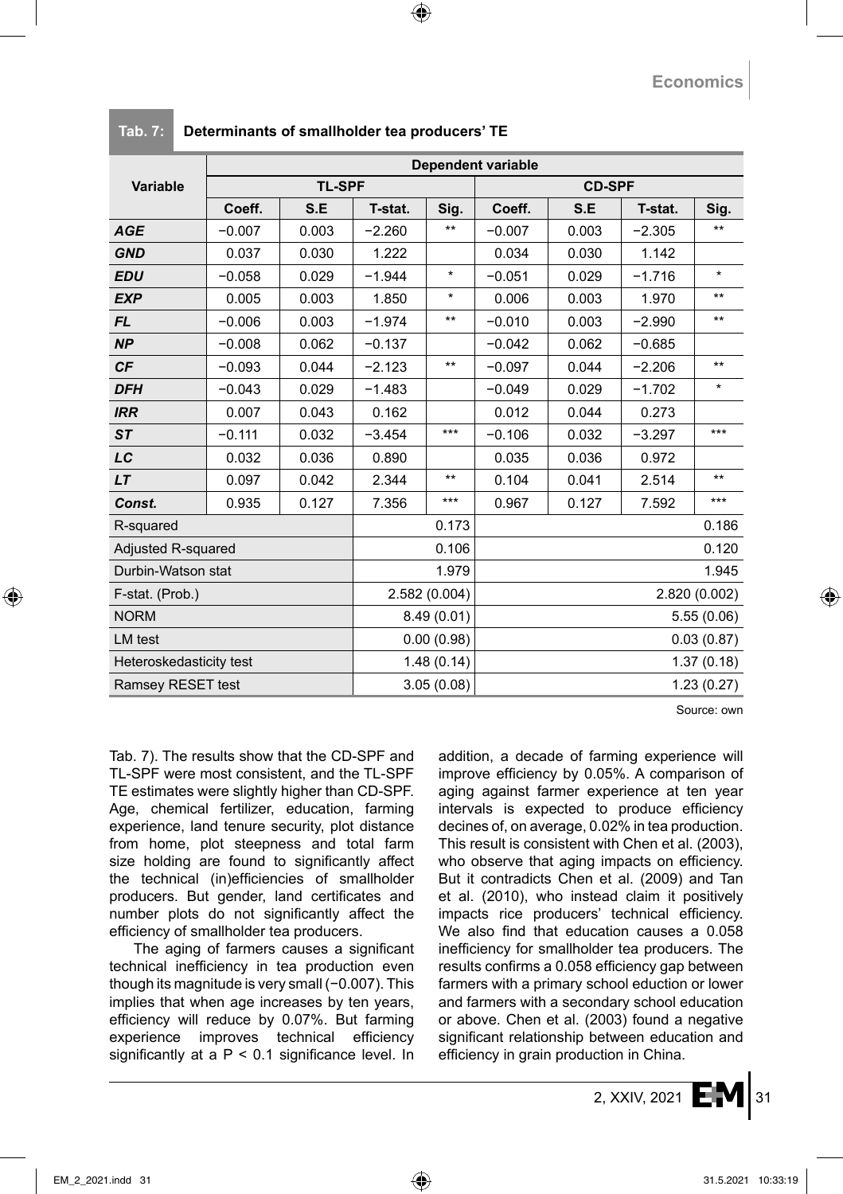|                           | <b>Dependent variable</b> |               |            |               |            |               |          |            |  |  |  |
|---------------------------|---------------------------|---------------|------------|---------------|------------|---------------|----------|------------|--|--|--|
| <b>Variable</b>           |                           | <b>TL-SPF</b> |            |               |            | <b>CD-SPF</b> |          |            |  |  |  |
|                           | Coeff.                    | S.E           | T-stat.    | Sig.          | Coeff.     | S.E           | T-stat.  | Sig.       |  |  |  |
| <b>AGE</b>                | $-0.007$                  | 0.003         | $-2.260$   | $***$         | $-0.007$   | 0.003         | $-2.305$ | $***$      |  |  |  |
| <b>GND</b>                | 0.037                     | 0.030         | 1.222      |               | 0.034      | 0.030         | 1.142    |            |  |  |  |
| <b>EDU</b>                | $-0.058$                  | 0.029         | $-1.944$   | $\star$       | $-0.051$   | 0.029         | $-1.716$ | $\star$    |  |  |  |
| <b>EXP</b>                | 0.005                     | 0.003         | 1.850      | $\star$       | 0.006      | 0.003         | 1.970    | $**$       |  |  |  |
| <b>FL</b>                 | $-0.006$                  | 0.003         | $-1.974$   | $***$         | $-0.010$   | 0.003         | $-2.990$ | $***$      |  |  |  |
| <b>NP</b>                 | $-0.008$                  | 0.062         | $-0.137$   |               | $-0.042$   | 0.062         | $-0.685$ |            |  |  |  |
| CF                        | $-0.093$                  | 0.044         | $-2.123$   | $***$         | $-0.097$   | 0.044         | $-2.206$ | $***$      |  |  |  |
| <b>DFH</b>                | $-0.043$                  | 0.029         | $-1.483$   |               | $-0.049$   | 0.029         | $-1.702$ | $\star$    |  |  |  |
| <b>IRR</b>                | 0.007                     | 0.043         | 0.162      |               | 0.012      | 0.044         | 0.273    |            |  |  |  |
| <b>ST</b>                 | $-0.111$                  | 0.032         | $-3.454$   | $***$         | $-0.106$   | 0.032         | $-3.297$ | $***$      |  |  |  |
| LC                        | 0.032                     | 0.036         | 0.890      |               | 0.035      | 0.036         | 0.972    |            |  |  |  |
| <b>LT</b>                 | 0.097                     | 0.042         | 2.344      | $***$         | 0.104      | 0.041         | 2.514    | $***$      |  |  |  |
| Const.                    | 0.935                     | 0.127         | 7.356      | $***$         | 0.967      | 0.127         | 7.592    | $***$      |  |  |  |
| R-squared                 |                           |               |            | 0.173         |            |               |          | 0.186      |  |  |  |
| <b>Adjusted R-squared</b> |                           |               |            | 0.106         |            |               | 0.120    |            |  |  |  |
| Durbin-Watson stat        |                           |               | 1.979      |               | 1.945      |               |          |            |  |  |  |
| F-stat. (Prob.)           |                           | 2.582 (0.004) |            | 2.820 (0.002) |            |               |          |            |  |  |  |
| <b>NORM</b>               |                           |               | 8.49(0.01) | 5.55(0.06)    |            |               |          |            |  |  |  |
| LM test                   |                           |               |            | 0.00(0.98)    | 0.03(0.87) |               |          |            |  |  |  |
| Heteroskedasticity test   |                           |               |            | 1.48(0.14)    |            |               |          | 1.37(0.18) |  |  |  |
| Ramsey RESET test         |                           |               |            | 3.05(0.08)    |            |               |          | 1.23(0.27) |  |  |  |

#### **Tab. 7: Determinants of smallholder tea producers' TE**

Source: own

Tab. 7). The results show that the CD-SPF and TL-SPF were most consistent, and the TL-SPF TE estimates were slightly higher than CD-SPF. Age, chemical fertilizer, education, farming experience, land tenure security, plot distance from home, plot steepness and total farm size holding are found to significantly affect the technical (in)efficiencies of smallholder producers. But gender, land certificates and number plots do not significantly affect the efficiency of smallholder tea producers.

The aging of farmers causes a significant technical inefficiency in tea production even though its magnitude is very small (−0.007). This implies that when age increases by ten years, efficiency will reduce by 0.07%. But farming experience improves technical efficiency significantly at a  $P < 0.1$  significance level. In addition, a decade of farming experience will improve efficiency by 0.05%. A comparison of aging against farmer experience at ten year intervals is expected to produce efficiency decines of, on average, 0.02% in tea production. This result is consistent with Chen et al. (2003), who observe that aging impacts on efficiency. But it contradicts Chen et al. (2009) and Tan et al. (2010), who instead claim it positively impacts rice producers' technical efficiency. We also find that education causes a 0.058 inefficiency for smallholder tea producers. The results confirms a 0.058 efficiency gap between farmers with a primary school eduction or lower and farmers with a secondary school education or above. Chen et al. (2003) found a negative significant relationship between education and efficiency in grain production in China.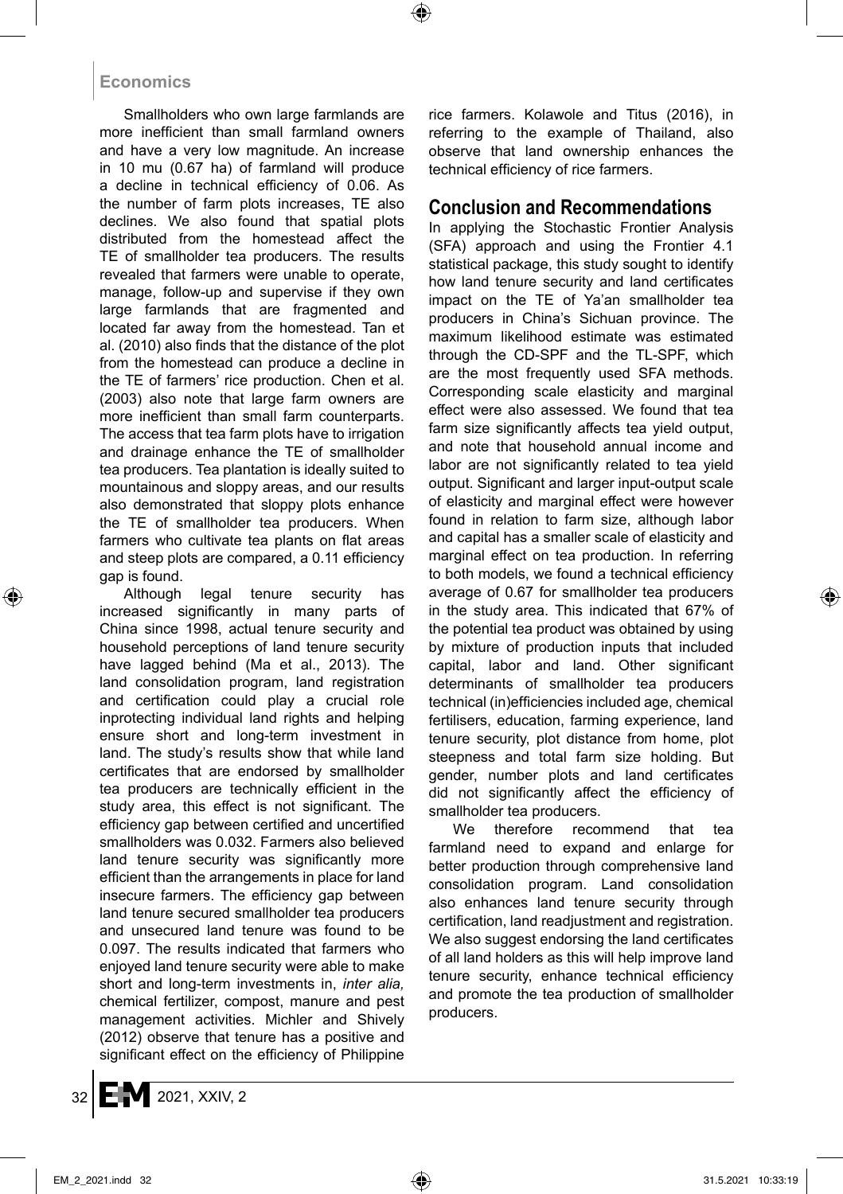Smallholders who own large farmlands are more inefficient than small farmland owners and have a very low magnitude. An increase in 10 mu (0.67 ha) of farmland will produce a decline in technical efficiency of 0.06. As the number of farm plots increases, TE also declines. We also found that spatial plots distributed from the homestead affect the TE of smallholder tea producers. The results revealed that farmers were unable to operate, manage, follow-up and supervise if they own large farmlands that are fragmented and located far away from the homestead. Tan et al. (2010) also finds that the distance of the plot from the homestead can produce a decline in the TE of farmers' rice production. Chen et al. (2003) also note that large farm owners are more inefficient than small farm counterparts. The access that tea farm plots have to irrigation and drainage enhance the TE of smallholder tea producers. Tea plantation is ideally suited to mountainous and sloppy areas, and our results also demonstrated that sloppy plots enhance the TE of smallholder tea producers. When farmers who cultivate tea plants on flat areas and steep plots are compared, a 0.11 efficiency gap is found.

Although legal tenure security has increased significantly in many parts of China since 1998, actual tenure security and household perceptions of land tenure security have lagged behind (Ma et al., 2013). The land consolidation program, land registration and certification could play a crucial role inprotecting individual land rights and helping ensure short and long-term investment in land. The study's results show that while land certificates that are endorsed by smallholder tea producers are technically efficient in the study area, this effect is not significant. The efficiency gap between certified and uncertified smallholders was 0.032. Farmers also believed land tenure security was significantly more efficient than the arrangements in place for land insecure farmers. The efficiency gap between land tenure secured smallholder tea producers and unsecured land tenure was found to be 0.097. The results indicated that farmers who enjoyed land tenure security were able to make short and long-term investments in, *inter alia,* chemical fertilizer, compost, manure and pest management activities. Michler and Shively (2012) observe that tenure has a positive and significant effect on the efficiency of Philippine rice farmers. Kolawole and Titus (2016), in referring to the example of Thailand, also observe that land ownership enhances the technical efficiency of rice farmers.

### **Conclusion and Recommendations**

In applying the Stochastic Frontier Analysis (SFA) approach and using the Frontier 4.1 statistical package, this study sought to identify how land tenure security and land certificates impact on the TE of Ya'an smallholder tea producers in China's Sichuan province. The maximum likelihood estimate was estimated through the CD-SPF and the TL-SPF, which are the most frequently used SFA methods. Corresponding scale elasticity and marginal effect were also assessed. We found that tea farm size significantly affects tea yield output, and note that household annual income and labor are not significantly related to tea yield output. Significant and larger input-output scale of elasticity and marginal effect were however found in relation to farm size, although labor and capital has a smaller scale of elasticity and marginal effect on tea production. In referring to both models, we found a technical efficiency average of 0.67 for smallholder tea producers in the study area. This indicated that 67% of the potential tea product was obtained by using by mixture of production inputs that included capital, labor and land. Other significant determinants of smallholder tea producers technical (in)efficiencies included age, chemical fertilisers, education, farming experience, land tenure security, plot distance from home, plot steepness and total farm size holding. But gender, number plots and land certificates did not significantly affect the efficiency of smallholder tea producers.

We therefore recommend that tea farmland need to expand and enlarge for better production through comprehensive land consolidation program. Land consolidation also enhances land tenure security through certification, land readjustment and registration. We also suggest endorsing the land certificates of all land holders as this will help improve land tenure security, enhance technical efficiency and promote the tea production of smallholder producers.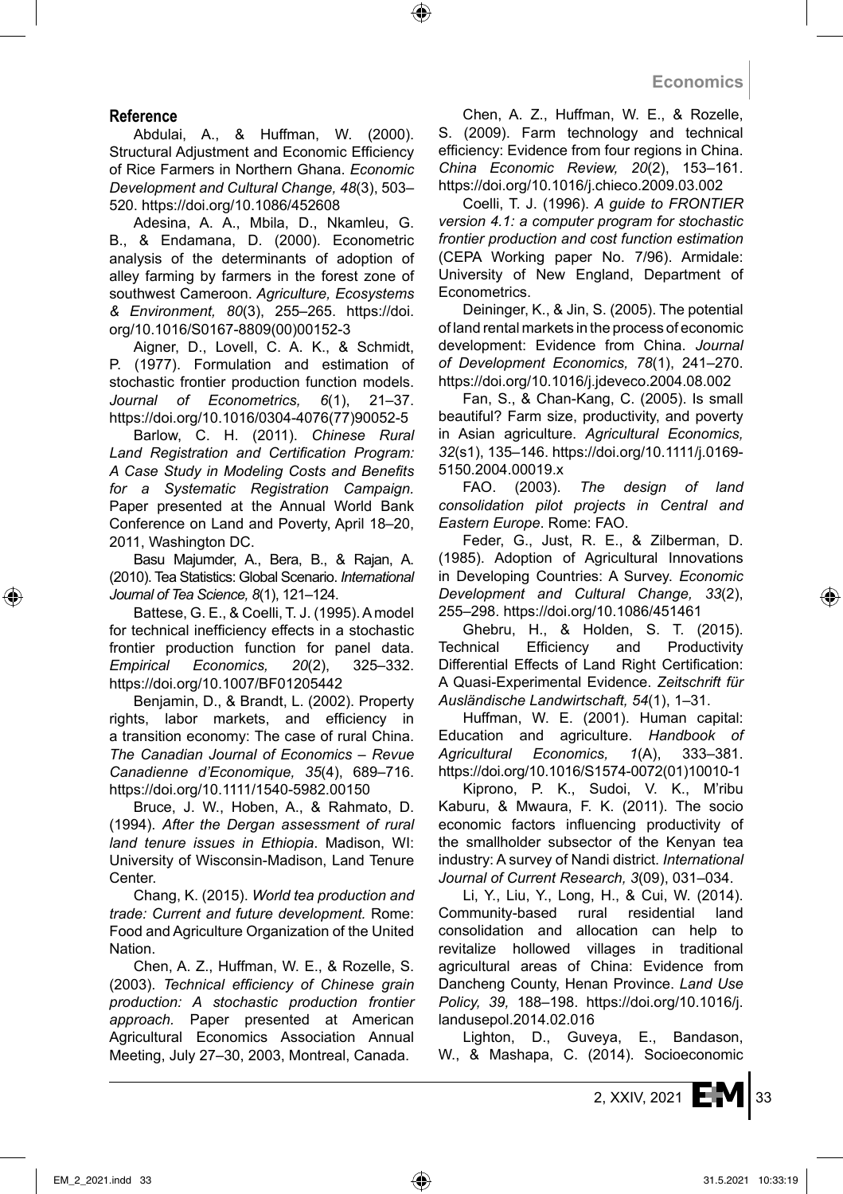### **Reference**

Abdulai, A., & Huffman, W. (2000). Structural Adjustment and Economic Efficiency of Rice Farmers in Northern Ghana. *Economic Development and Cultural Change, 48*(3), 503– 520. https://doi.org/10.1086/452608

Adesina, A. A., Mbila, D., Nkamleu, G. B., & Endamana, D. (2000). Econometric analysis of the determinants of adoption of alley farming by farmers in the forest zone of southwest Cameroon. *Agriculture, Ecosystems & Environment, 80*(3), 255–265. https://doi. org/10.1016/S0167-8809(00)00152-3

Aigner, D., Lovell, C. A. K., & Schmidt, P. (1977). Formulation and estimation of stochastic frontier production function models. *Journal of Econometrics, 6*(1), 21–37. https://doi.org/10.1016/0304-4076(77)90052-5

Barlow, C. H. (2011). *Chinese Rural Land Registration and Certification Program: A Case Study in Modeling Costs and Benefits for a Systematic Registration Campaign.* Paper presented at the Annual World Bank Conference on Land and Poverty, April 18–20, 2011, Washington DC.

Basu Majumder, A., Bera, B., & Rajan, A. (2010). Tea Statistics: Global Scenario. *International Journal of Tea Science, 8*(1), 121–124.

Battese, G. E., & Coelli, T. J. (1995). A model for technical inefficiency effects in a stochastic frontier production function for panel data. *Empirical Economics, 20*(2), 325–332. https://doi.org/10.1007/BF01205442

Benjamin, D., & Brandt, L. (2002). Property rights, labor markets, and efficiency in a transition economy: The case of rural China. *The Canadian Journal of Economics – Revue Canadienne d'Economique, 35*(4), 689–716. https://doi.org/10.1111/1540-5982.00150

Bruce, J. W., Hoben, A., & Rahmato, D. (1994). *After the Dergan assessment of rural land tenure issues in Ethiopia*. Madison, WI: University of Wisconsin-Madison, Land Tenure Center.

Chang, K. (2015). *World tea production and trade: Current and future development.* Rome: Food and Agriculture Organization of the United Nation.

Chen, A. Z., Huffman, W. E., & Rozelle, S. (2003). *Technical efficiency of Chinese grain production: A stochastic production frontier approach.* Paper presented at American Agricultural Economics Association Annual Meeting, July 27–30, 2003, Montreal, Canada.

Chen, A. Z., Huffman, W. E., & Rozelle, S. (2009). Farm technology and technical efficiency: Evidence from four regions in China. *China Economic Review, 20*(2), 153–161. https://doi.org/10.1016/j.chieco.2009.03.002

Coelli, T. J. (1996). *A guide to FRONTIER version 4.1: a computer program for stochastic frontier production and cost function estimation* (CEPA Working paper No. 7/96). Armidale: University of New England, Department of Econometrics.

Deininger, K., & Jin, S. (2005). The potential of land rental markets in the process of economic development: Evidence from China. *Journal of Development Economics, 78*(1), 241–270. https://doi.org/10.1016/j.jdeveco.2004.08.002

Fan, S., & Chan-Kang, C. (2005). Is small beautiful? Farm size, productivity, and poverty in Asian agriculture. *Agricultural Economics, 32*(s1), 135–146. https://doi.org/10.1111/j.0169- 5150.2004.00019.x

FAO. (2003). *The design of land consolidation pilot projects in Central and Eastern Europe*. Rome: FAO.

Feder, G., Just, R. E., & Zilberman, D. (1985). Adoption of Agricultural Innovations in Developing Countries: A Survey. *Economic Development and Cultural Change, 33*(2), 255–298. https://doi.org/10.1086/451461

Ghebru, H., & Holden, S. T. (2015). Technical Efficiency and Productivity Differential Effects of Land Right Certification: A Quasi-Experimental Evidence. *Zeitschrift für Ausländische Landwirtschaft, 54*(1), 1–31.

Huffman, W. E. (2001). Human capital: Education and agriculture. *Handbook of Agricultural Economics, 1*(A), 333–381. https://doi.org/10.1016/S1574-0072(01)10010-1

Kiprono, P. K., Sudoi, V. K., M'ribu Kaburu, & Mwaura, F. K. (2011). The socio economic factors influencing productivity of the smallholder subsector of the Kenyan tea industry: A survey of Nandi district. *International Journal of Current Research, 3*(09), 031–034.

Li, Y., Liu, Y., Long, H., & Cui, W. (2014). Community-based rural residential land consolidation and allocation can help to revitalize hollowed villages in traditional agricultural areas of China: Evidence from Dancheng County, Henan Province. *Land Use Policy, 39,* 188–198. https://doi.org/10.1016/j. landusepol.2014.02.016

Lighton, D., Guveya, E., Bandason, W., & Mashapa, C. (2014). Socioeconomic